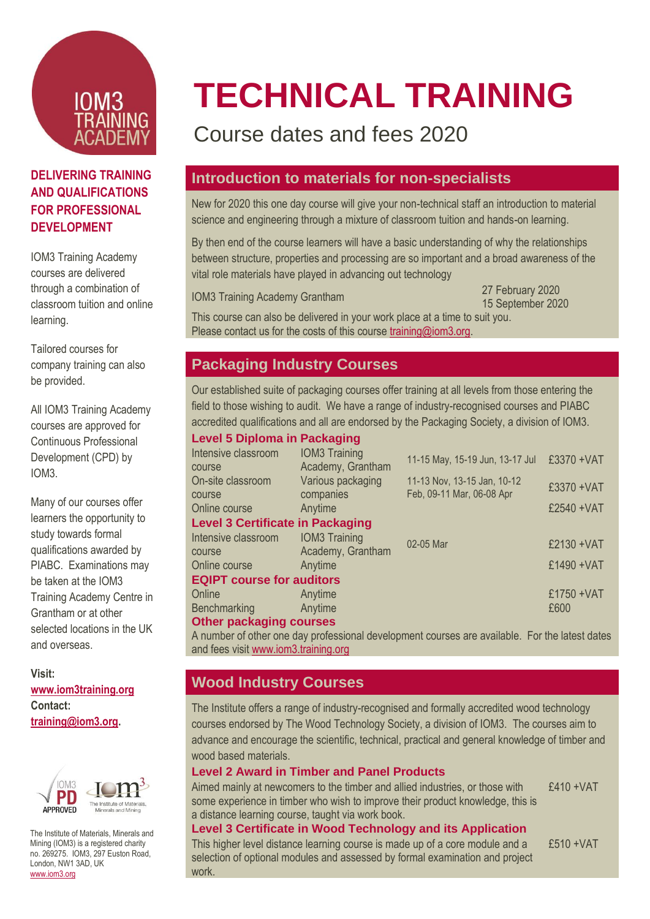

#### **DELIVERING TRAINING AND QUALIFICATIONS FOR PROFESSIONAL DEVELOPMENT**

IOM3 Training Academy courses are delivered through a combination of classroom tuition and online learning.

Tailored courses for company training can also be provided.

All IOM3 Training Academy courses are approved for Continuous Professional Development (CPD) by IOM3.

Many of our courses offer learners the opportunity to study towards formal qualifications awarded by PIABC. Examinations may be taken at the IOM3 Training Academy Centre in Grantham or at other selected locations in the UK and overseas.

**Visit: [www.iom3training.org](http://www.iom3training.org/) Contact: [training@iom3.org.](mailto:training@iom3.org)** 



The Institute of Materials, Minerals and Mining (IOM3) is a registered charity no. 269275. IOM3, 297 Euston Road, London, NW1 3AD, UK [www.iom3.org](http://www.iom3.org/)

# **TECHNICAL TRAINING**

# Course dates and fees 2020

### **Introduction to materials for non-specialists**

New for 2020 this one day course will give your non-technical staff an introduction to material science and engineering through a mixture of classroom tuition and hands-on learning.

By then end of the course learners will have a basic understanding of why the relationships between structure, properties and processing are so important and a broad awareness of the vital role materials have played in advancing out technology

IOM3 Training Academy Grantham 27 February 2020

15 September 2020

This course can also be delivered in your work place at a time to suit you. Please contact us for the costs of this course [training@iom3.org.](mailto:training@iom3.org)

### **Packaging Industry Courses**

Our established suite of packaging courses offer training at all levels from those entering the field to those wishing to audit. We have a range of industry-recognised courses and PIABC accredited qualifications and all are endorsed by the Packaging Society, a division of IOM3.

| <b>Level 5 Diploma in Packaging</b>     |                                           |                                                          |             |
|-----------------------------------------|-------------------------------------------|----------------------------------------------------------|-------------|
| Intensive classroom<br>course           | <b>IOM3 Training</b><br>Academy, Grantham | 11-15 May, 15-19 Jun, 13-17 Jul                          | £3370 + VAT |
| On-site classroom<br>course             | Various packaging<br>companies            | 11-13 Nov, 13-15 Jan, 10-12<br>Feb, 09-11 Mar, 06-08 Apr | £3370 + VAT |
| Online course                           | Anytime                                   |                                                          | £2540 + VAT |
| <b>Level 3 Certificate in Packaging</b> |                                           |                                                          |             |
| Intensive classroom<br>course           | <b>IOM3 Training</b><br>Academy, Grantham | 02-05 Mar                                                | £2130 + VAT |
| Online course                           | Anytime                                   |                                                          | £1490 + VAT |
| <b>EQIPT course for auditors</b>        |                                           |                                                          |             |
| Online                                  | Anytime                                   |                                                          | £1750 + VAT |
| Benchmarking                            | Anytime                                   |                                                          | £600        |
| <b>Other packaging courses</b>          |                                           |                                                          |             |
|                                         |                                           |                                                          |             |

A number of other one day professional development courses are available. For the latest dates and fees visi[t www.iom3.training.org](http://www.iom3.training.org/)

# **Wood Industry Courses**

The Institute offers a range of industry-recognised and formally accredited wood technology courses endorsed by The Wood Technology Society, a division of IOM3. The courses aim to advance and encourage the scientific, technical, practical and general knowledge of timber and wood based materials.

#### **Level 2 Award in Timber and Panel Products**

Aimed mainly at newcomers to the timber and allied industries, or those with some experience in timber who wish to improve their product knowledge, this is a distance learning course, taught via work book. £410 +VAT

#### **Level 3 Certificate in Wood Technology and its Application**

This higher level distance learning course is made up of a core module and a selection of optional modules and assessed by formal examination and project work.

£510 +VAT